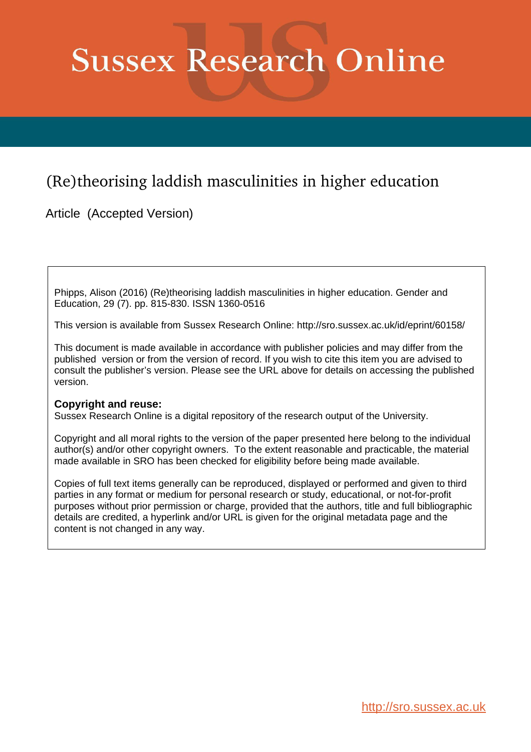# **Sussex Research Online**

## (Re)theorising laddish masculinities in higher education

Article (Accepted Version)

Phipps, Alison (2016) (Re)theorising laddish masculinities in higher education. Gender and Education, 29 (7). pp. 815-830. ISSN 1360-0516

This version is available from Sussex Research Online: http://sro.sussex.ac.uk/id/eprint/60158/

This document is made available in accordance with publisher policies and may differ from the published version or from the version of record. If you wish to cite this item you are advised to consult the publisher's version. Please see the URL above for details on accessing the published version.

### **Copyright and reuse:**

Sussex Research Online is a digital repository of the research output of the University.

Copyright and all moral rights to the version of the paper presented here belong to the individual author(s) and/or other copyright owners. To the extent reasonable and practicable, the material made available in SRO has been checked for eligibility before being made available.

Copies of full text items generally can be reproduced, displayed or performed and given to third parties in any format or medium for personal research or study, educational, or not-for-profit purposes without prior permission or charge, provided that the authors, title and full bibliographic details are credited, a hyperlink and/or URL is given for the original metadata page and the content is not changed in any way.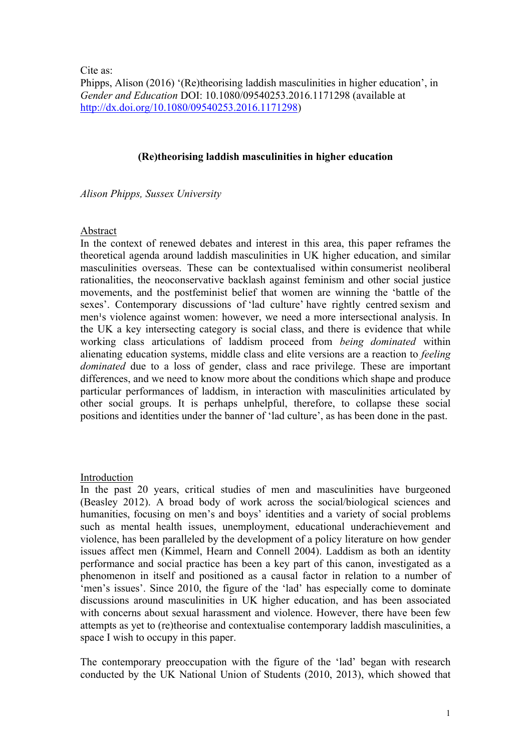Cite as:

Phipps, Alison (2016) '(Re)theorising laddish masculinities in higher education', in *Gender and Education* DOI: 10.1080/09540253.2016.1171298 (available at http://dx.doi.org/10.1080/09540253.2016.1171298)

#### **(Re)theorising laddish masculinities in higher education**

*Alison Phipps, Sussex University*

#### Abstract

In the context of renewed debates and interest in this area, this paper reframes the theoretical agenda around laddish masculinities in UK higher education, and similar masculinities overseas. These can be contextualised within consumerist neoliberal rationalities, the neoconservative backlash against feminism and other social justice movements, and the postfeminist belief that women are winning the 'battle of the sexes'. Contemporary discussions of 'lad culture' have rightly centred sexism and men's violence against women: however, we need a more intersectional analysis. In the UK a key intersecting category is social class, and there is evidence that while working class articulations of laddism proceed from *being dominated* within alienating education systems, middle class and elite versions are a reaction to *feeling dominated* due to a loss of gender, class and race privilege. These are important differences, and we need to know more about the conditions which shape and produce particular performances of laddism, in interaction with masculinities articulated by other social groups. It is perhaps unhelpful, therefore, to collapse these social positions and identities under the banner of 'lad culture', as has been done in the past.

#### Introduction

In the past 20 years, critical studies of men and masculinities have burgeoned (Beasley 2012). A broad body of work across the social/biological sciences and humanities, focusing on men's and boys' identities and a variety of social problems such as mental health issues, unemployment, educational underachievement and violence, has been paralleled by the development of a policy literature on how gender issues affect men (Kimmel, Hearn and Connell 2004). Laddism as both an identity performance and social practice has been a key part of this canon, investigated as a phenomenon in itself and positioned as a causal factor in relation to a number of 'men's issues'. Since 2010, the figure of the 'lad' has especially come to dominate discussions around masculinities in UK higher education, and has been associated with concerns about sexual harassment and violence. However, there have been few attempts as yet to (re)theorise and contextualise contemporary laddish masculinities, a space I wish to occupy in this paper.

The contemporary preoccupation with the figure of the 'lad' began with research conducted by the UK National Union of Students (2010, 2013), which showed that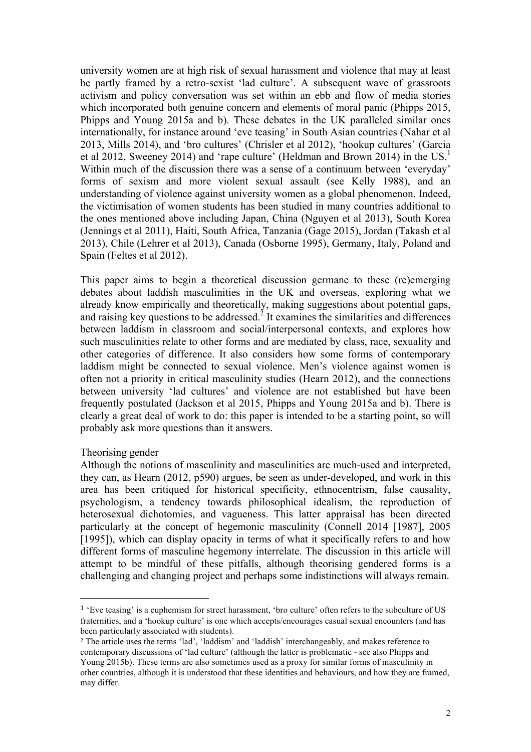university women are at high risk of sexual harassment and violence that may at least be partly framed by a retro-sexist 'lad culture'. A subsequent wave of grassroots activism and policy conversation was set within an ebb and flow of media stories which incorporated both genuine concern and elements of moral panic (Phipps 2015, Phipps and Young 2015a and b). These debates in the UK paralleled similar ones internationally, for instance around 'eve teasing' in South Asian countries (Nahar et al 2013, Mills 2014), and 'bro cultures' (Chrisler et al 2012), 'hookup cultures' (Garcia et al 2012, Sweeney 2014) and 'rape culture' (Heldman and Brown 2014) in the US.<sup>1</sup> Within much of the discussion there was a sense of a continuum between 'everyday' forms of sexism and more violent sexual assault (see Kelly 1988), and an understanding of violence against university women as a global phenomenon. Indeed, the victimisation of women students has been studied in many countries additional to the ones mentioned above including Japan, China (Nguyen et al 2013), South Korea (Jennings et al 2011), Haiti, South Africa, Tanzania (Gage 2015), Jordan (Takash et al 2013), Chile (Lehrer et al 2013), Canada (Osborne 1995), Germany, Italy, Poland and Spain (Feltes et al 2012).

This paper aims to begin a theoretical discussion germane to these (re)emerging debates about laddish masculinities in the UK and overseas, exploring what we already know empirically and theoretically, making suggestions about potential gaps, and raising key questions to be addressed.<sup>2</sup> It examines the similarities and differences between laddism in classroom and social/interpersonal contexts, and explores how such masculinities relate to other forms and are mediated by class, race, sexuality and other categories of difference. It also considers how some forms of contemporary laddism might be connected to sexual violence. Men's violence against women is often not a priority in critical masculinity studies (Hearn 2012), and the connections between university 'lad cultures' and violence are not established but have been frequently postulated (Jackson et al 2015, Phipps and Young 2015a and b). There is clearly a great deal of work to do: this paper is intended to be a starting point, so will probably ask more questions than it answers.

#### Theorising gender

 

Although the notions of masculinity and masculinities are much-used and interpreted, they can, as Hearn (2012, p590) argues, be seen as under-developed, and work in this area has been critiqued for historical specificity, ethnocentrism, false causality, psychologism, a tendency towards philosophical idealism, the reproduction of heterosexual dichotomies, and vagueness. This latter appraisal has been directed particularly at the concept of hegemonic masculinity (Connell 2014 [1987], 2005 [1995]), which can display opacity in terms of what it specifically refers to and how different forms of masculine hegemony interrelate. The discussion in this article will attempt to be mindful of these pitfalls, although theorising gendered forms is a challenging and changing project and perhaps some indistinctions will always remain.

<sup>1</sup> 'Eve teasing' is a euphemism for street harassment, 'bro culture' often refers to the subculture of US fraternities, and a 'hookup culture' is one which accepts/encourages casual sexual encounters (and has been particularly associated with students).

<sup>2</sup> The article uses the terms 'lad', 'laddism' and 'laddish' interchangeably, and makes reference to contemporary discussions of 'lad culture' (although the latter is problematic - see also Phipps and Young 2015b). These terms are also sometimes used as a proxy for similar forms of masculinity in other countries, although it is understood that these identities and behaviours, and how they are framed, may differ.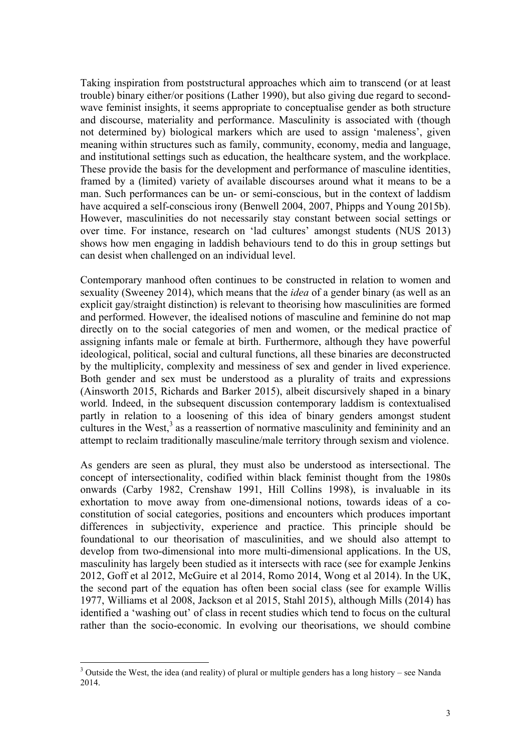Taking inspiration from poststructural approaches which aim to transcend (or at least trouble) binary either/or positions (Lather 1990), but also giving due regard to secondwave feminist insights, it seems appropriate to conceptualise gender as both structure and discourse, materiality and performance. Masculinity is associated with (though not determined by) biological markers which are used to assign 'maleness', given meaning within structures such as family, community, economy, media and language, and institutional settings such as education, the healthcare system, and the workplace. These provide the basis for the development and performance of masculine identities, framed by a (limited) variety of available discourses around what it means to be a man. Such performances can be un- or semi-conscious, but in the context of laddism have acquired a self-conscious irony (Benwell 2004, 2007, Phipps and Young 2015b). However, masculinities do not necessarily stay constant between social settings or over time. For instance, research on 'lad cultures' amongst students (NUS 2013) shows how men engaging in laddish behaviours tend to do this in group settings but can desist when challenged on an individual level.

Contemporary manhood often continues to be constructed in relation to women and sexuality (Sweeney 2014), which means that the *idea* of a gender binary (as well as an explicit gay/straight distinction) is relevant to theorising how masculinities are formed and performed. However, the idealised notions of masculine and feminine do not map directly on to the social categories of men and women, or the medical practice of assigning infants male or female at birth. Furthermore, although they have powerful ideological, political, social and cultural functions, all these binaries are deconstructed by the multiplicity, complexity and messiness of sex and gender in lived experience. Both gender and sex must be understood as a plurality of traits and expressions (Ainsworth 2015, Richards and Barker 2015), albeit discursively shaped in a binary world. Indeed, in the subsequent discussion contemporary laddism is contextualised partly in relation to a loosening of this idea of binary genders amongst student cultures in the West,<sup>3</sup> as a reassertion of normative masculinity and femininity and an attempt to reclaim traditionally masculine/male territory through sexism and violence.

As genders are seen as plural, they must also be understood as intersectional. The concept of intersectionality, codified within black feminist thought from the 1980s onwards (Carby 1982, Crenshaw 1991, Hill Collins 1998), is invaluable in its exhortation to move away from one-dimensional notions, towards ideas of a coconstitution of social categories, positions and encounters which produces important differences in subjectivity, experience and practice. This principle should be foundational to our theorisation of masculinities, and we should also attempt to develop from two-dimensional into more multi-dimensional applications. In the US, masculinity has largely been studied as it intersects with race (see for example Jenkins 2012, Goff et al 2012, McGuire et al 2014, Romo 2014, Wong et al 2014). In the UK, the second part of the equation has often been social class (see for example Willis 1977, Williams et al 2008, Jackson et al 2015, Stahl 2015), although Mills (2014) has identified a 'washing out' of class in recent studies which tend to focus on the cultural rather than the socio-economic. In evolving our theorisations, we should combine

<sup>&</sup>lt;sup>3</sup> Outside the West, the idea (and reality) of plural or multiple genders has a long history – see Nanda 2014.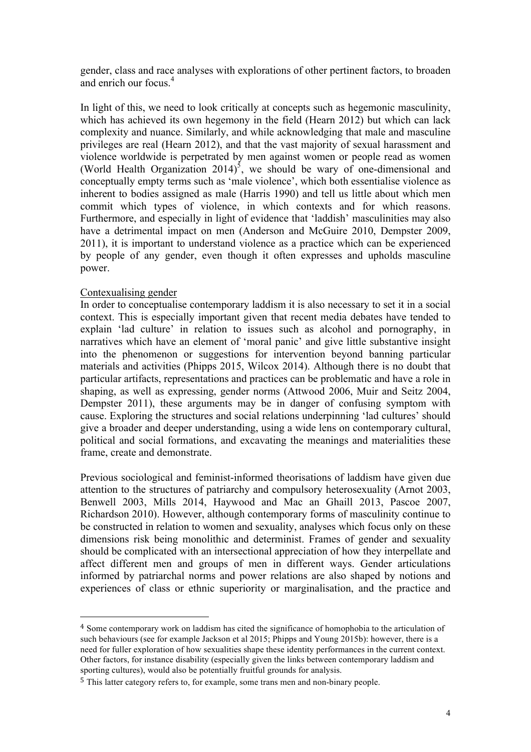gender, class and race analyses with explorations of other pertinent factors, to broaden and enrich our focus.<sup>4</sup>

In light of this, we need to look critically at concepts such as hegemonic masculinity, which has achieved its own hegemony in the field (Hearn 2012) but which can lack complexity and nuance. Similarly, and while acknowledging that male and masculine privileges are real (Hearn 2012), and that the vast majority of sexual harassment and violence worldwide is perpetrated by men against women or people read as women (World Health Organization 2014)<sup>5</sup>, we should be wary of one-dimensional and conceptually empty terms such as 'male violence', which both essentialise violence as inherent to bodies assigned as male (Harris 1990) and tell us little about which men commit which types of violence, in which contexts and for which reasons. Furthermore, and especially in light of evidence that 'laddish' masculinities may also have a detrimental impact on men (Anderson and McGuire 2010, Dempster 2009, 2011), it is important to understand violence as a practice which can be experienced by people of any gender, even though it often expresses and upholds masculine power.

#### Contexualising gender

 

In order to conceptualise contemporary laddism it is also necessary to set it in a social context. This is especially important given that recent media debates have tended to explain 'lad culture' in relation to issues such as alcohol and pornography, in narratives which have an element of 'moral panic' and give little substantive insight into the phenomenon or suggestions for intervention beyond banning particular materials and activities (Phipps 2015, Wilcox 2014). Although there is no doubt that particular artifacts, representations and practices can be problematic and have a role in shaping, as well as expressing, gender norms (Attwood 2006, Muir and Seitz 2004, Dempster 2011), these arguments may be in danger of confusing symptom with cause. Exploring the structures and social relations underpinning 'lad cultures' should give a broader and deeper understanding, using a wide lens on contemporary cultural, political and social formations, and excavating the meanings and materialities these frame, create and demonstrate.

Previous sociological and feminist-informed theorisations of laddism have given due attention to the structures of patriarchy and compulsory heterosexuality (Arnot 2003, Benwell 2003, Mills 2014, Haywood and Mac an Ghaill 2013, Pascoe 2007, Richardson 2010). However, although contemporary forms of masculinity continue to be constructed in relation to women and sexuality, analyses which focus only on these dimensions risk being monolithic and determinist. Frames of gender and sexuality should be complicated with an intersectional appreciation of how they interpellate and affect different men and groups of men in different ways. Gender articulations informed by patriarchal norms and power relations are also shaped by notions and experiences of class or ethnic superiority or marginalisation, and the practice and

<sup>4</sup> Some contemporary work on laddism has cited the significance of homophobia to the articulation of such behaviours (see for example Jackson et al 2015; Phipps and Young 2015b): however, there is a need for fuller exploration of how sexualities shape these identity performances in the current context. Other factors, for instance disability (especially given the links between contemporary laddism and sporting cultures), would also be potentially fruitful grounds for analysis.

<sup>5</sup> This latter category refers to, for example, some trans men and non-binary people.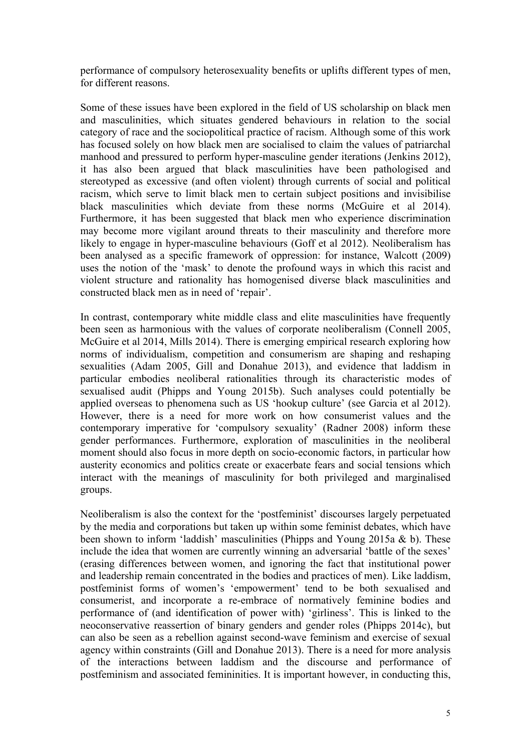performance of compulsory heterosexuality benefits or uplifts different types of men, for different reasons.

Some of these issues have been explored in the field of US scholarship on black men and masculinities, which situates gendered behaviours in relation to the social category of race and the sociopolitical practice of racism. Although some of this work has focused solely on how black men are socialised to claim the values of patriarchal manhood and pressured to perform hyper-masculine gender iterations (Jenkins 2012), it has also been argued that black masculinities have been pathologised and stereotyped as excessive (and often violent) through currents of social and political racism, which serve to limit black men to certain subject positions and invisibilise black masculinities which deviate from these norms (McGuire et al 2014). Furthermore, it has been suggested that black men who experience discrimination may become more vigilant around threats to their masculinity and therefore more likely to engage in hyper-masculine behaviours (Goff et al 2012). Neoliberalism has been analysed as a specific framework of oppression: for instance, Walcott (2009) uses the notion of the 'mask' to denote the profound ways in which this racist and violent structure and rationality has homogenised diverse black masculinities and constructed black men as in need of 'repair'.

In contrast, contemporary white middle class and elite masculinities have frequently been seen as harmonious with the values of corporate neoliberalism (Connell 2005, McGuire et al 2014, Mills 2014). There is emerging empirical research exploring how norms of individualism, competition and consumerism are shaping and reshaping sexualities (Adam 2005, Gill and Donahue 2013), and evidence that laddism in particular embodies neoliberal rationalities through its characteristic modes of sexualised audit (Phipps and Young 2015b). Such analyses could potentially be applied overseas to phenomena such as US 'hookup culture' (see Garcia et al 2012). However, there is a need for more work on how consumerist values and the contemporary imperative for 'compulsory sexuality' (Radner 2008) inform these gender performances. Furthermore, exploration of masculinities in the neoliberal moment should also focus in more depth on socio-economic factors, in particular how austerity economics and politics create or exacerbate fears and social tensions which interact with the meanings of masculinity for both privileged and marginalised groups.

Neoliberalism is also the context for the 'postfeminist' discourses largely perpetuated by the media and corporations but taken up within some feminist debates, which have been shown to inform 'laddish' masculinities (Phipps and Young 2015a & b). These include the idea that women are currently winning an adversarial 'battle of the sexes' (erasing differences between women, and ignoring the fact that institutional power and leadership remain concentrated in the bodies and practices of men). Like laddism, postfeminist forms of women's 'empowerment' tend to be both sexualised and consumerist, and incorporate a re-embrace of normatively feminine bodies and performance of (and identification of power with) 'girliness'. This is linked to the neoconservative reassertion of binary genders and gender roles (Phipps 2014c), but can also be seen as a rebellion against second-wave feminism and exercise of sexual agency within constraints (Gill and Donahue 2013). There is a need for more analysis of the interactions between laddism and the discourse and performance of postfeminism and associated femininities. It is important however, in conducting this,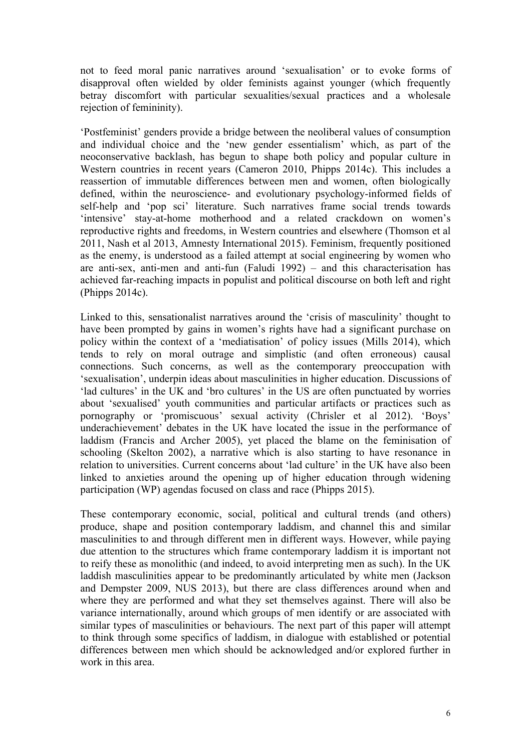not to feed moral panic narratives around 'sexualisation' or to evoke forms of disapproval often wielded by older feminists against younger (which frequently betray discomfort with particular sexualities/sexual practices and a wholesale rejection of femininity).

'Postfeminist' genders provide a bridge between the neoliberal values of consumption and individual choice and the 'new gender essentialism' which, as part of the neoconservative backlash, has begun to shape both policy and popular culture in Western countries in recent years (Cameron 2010, Phipps 2014c). This includes a reassertion of immutable differences between men and women, often biologically defined, within the neuroscience- and evolutionary psychology-informed fields of self-help and 'pop sci' literature. Such narratives frame social trends towards 'intensive' stay-at-home motherhood and a related crackdown on women's reproductive rights and freedoms, in Western countries and elsewhere (Thomson et al 2011, Nash et al 2013, Amnesty International 2015). Feminism, frequently positioned as the enemy, is understood as a failed attempt at social engineering by women who are anti-sex, anti-men and anti-fun (Faludi 1992) – and this characterisation has achieved far-reaching impacts in populist and political discourse on both left and right (Phipps 2014c).

Linked to this, sensationalist narratives around the 'crisis of masculinity' thought to have been prompted by gains in women's rights have had a significant purchase on policy within the context of a 'mediatisation' of policy issues (Mills 2014), which tends to rely on moral outrage and simplistic (and often erroneous) causal connections. Such concerns, as well as the contemporary preoccupation with 'sexualisation', underpin ideas about masculinities in higher education. Discussions of 'lad cultures' in the UK and 'bro cultures' in the US are often punctuated by worries about 'sexualised' youth communities and particular artifacts or practices such as pornography or 'promiscuous' sexual activity (Chrisler et al 2012). 'Boys' underachievement' debates in the UK have located the issue in the performance of laddism (Francis and Archer 2005), yet placed the blame on the feminisation of schooling (Skelton 2002), a narrative which is also starting to have resonance in relation to universities. Current concerns about 'lad culture' in the UK have also been linked to anxieties around the opening up of higher education through widening participation (WP) agendas focused on class and race (Phipps 2015).

These contemporary economic, social, political and cultural trends (and others) produce, shape and position contemporary laddism, and channel this and similar masculinities to and through different men in different ways. However, while paying due attention to the structures which frame contemporary laddism it is important not to reify these as monolithic (and indeed, to avoid interpreting men as such). In the UK laddish masculinities appear to be predominantly articulated by white men (Jackson and Dempster 2009, NUS 2013), but there are class differences around when and where they are performed and what they set themselves against. There will also be variance internationally, around which groups of men identify or are associated with similar types of masculinities or behaviours. The next part of this paper will attempt to think through some specifics of laddism, in dialogue with established or potential differences between men which should be acknowledged and/or explored further in work in this area.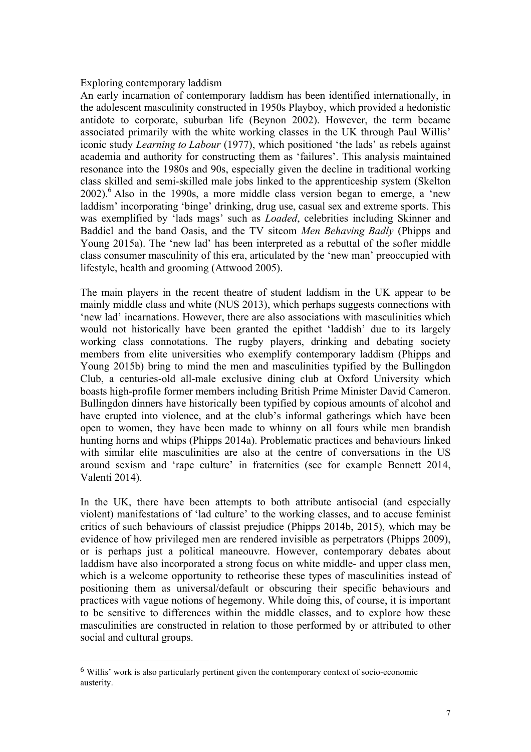#### Exploring contemporary laddism

An early incarnation of contemporary laddism has been identified internationally, in the adolescent masculinity constructed in 1950s Playboy, which provided a hedonistic antidote to corporate, suburban life (Beynon 2002). However, the term became associated primarily with the white working classes in the UK through Paul Willis' iconic study *Learning to Labour* (1977), which positioned 'the lads' as rebels against academia and authority for constructing them as 'failures'. This analysis maintained resonance into the 1980s and 90s, especially given the decline in traditional working class skilled and semi-skilled male jobs linked to the apprenticeship system (Skelton  $2002$ <sup>6</sup>. Also in the 1990s, a more middle class version began to emerge, a 'new laddism' incorporating 'binge' drinking, drug use, casual sex and extreme sports. This was exemplified by 'lads mags' such as *Loaded*, celebrities including Skinner and Baddiel and the band Oasis, and the TV sitcom *Men Behaving Badly* (Phipps and Young 2015a). The 'new lad' has been interpreted as a rebuttal of the softer middle class consumer masculinity of this era, articulated by the 'new man' preoccupied with lifestyle, health and grooming (Attwood 2005).

The main players in the recent theatre of student laddism in the UK appear to be mainly middle class and white (NUS 2013), which perhaps suggests connections with 'new lad' incarnations. However, there are also associations with masculinities which would not historically have been granted the epithet 'laddish' due to its largely working class connotations. The rugby players, drinking and debating society members from elite universities who exemplify contemporary laddism (Phipps and Young 2015b) bring to mind the men and masculinities typified by the Bullingdon Club, a centuries-old all-male exclusive dining club at Oxford University which boasts high-profile former members including British Prime Minister David Cameron. Bullingdon dinners have historically been typified by copious amounts of alcohol and have erupted into violence, and at the club's informal gatherings which have been open to women, they have been made to whinny on all fours while men brandish hunting horns and whips (Phipps 2014a). Problematic practices and behaviours linked with similar elite masculinities are also at the centre of conversations in the US around sexism and 'rape culture' in fraternities (see for example Bennett 2014, Valenti 2014).

In the UK, there have been attempts to both attribute antisocial (and especially violent) manifestations of 'lad culture' to the working classes, and to accuse feminist critics of such behaviours of classist prejudice (Phipps 2014b, 2015), which may be evidence of how privileged men are rendered invisible as perpetrators (Phipps 2009), or is perhaps just a political maneouvre. However, contemporary debates about laddism have also incorporated a strong focus on white middle- and upper class men, which is a welcome opportunity to retheorise these types of masculinities instead of positioning them as universal/default or obscuring their specific behaviours and practices with vague notions of hegemony. While doing this, of course, it is important to be sensitive to differences within the middle classes, and to explore how these masculinities are constructed in relation to those performed by or attributed to other social and cultural groups.

 

<sup>6</sup> Willis' work is also particularly pertinent given the contemporary context of socio-economic austerity.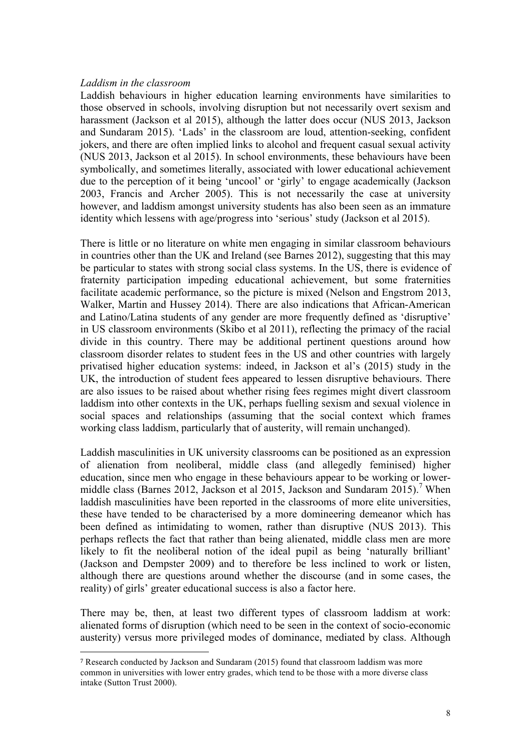#### *Laddism in the classroom*

Laddish behaviours in higher education learning environments have similarities to those observed in schools, involving disruption but not necessarily overt sexism and harassment (Jackson et al 2015), although the latter does occur (NUS 2013, Jackson and Sundaram 2015). 'Lads' in the classroom are loud, attention-seeking, confident jokers, and there are often implied links to alcohol and frequent casual sexual activity (NUS 2013, Jackson et al 2015). In school environments, these behaviours have been symbolically, and sometimes literally, associated with lower educational achievement due to the perception of it being 'uncool' or 'girly' to engage academically (Jackson 2003, Francis and Archer 2005). This is not necessarily the case at university however, and laddism amongst university students has also been seen as an immature identity which lessens with age/progress into 'serious' study (Jackson et al 2015).

There is little or no literature on white men engaging in similar classroom behaviours in countries other than the UK and Ireland (see Barnes 2012), suggesting that this may be particular to states with strong social class systems. In the US, there is evidence of fraternity participation impeding educational achievement, but some fraternities facilitate academic performance, so the picture is mixed (Nelson and Engstrom 2013, Walker, Martin and Hussey 2014). There are also indications that African-American and Latino/Latina students of any gender are more frequently defined as 'disruptive' in US classroom environments (Skibo et al 2011), reflecting the primacy of the racial divide in this country. There may be additional pertinent questions around how classroom disorder relates to student fees in the US and other countries with largely privatised higher education systems: indeed, in Jackson et al's (2015) study in the UK, the introduction of student fees appeared to lessen disruptive behaviours. There are also issues to be raised about whether rising fees regimes might divert classroom laddism into other contexts in the UK, perhaps fuelling sexism and sexual violence in social spaces and relationships (assuming that the social context which frames working class laddism, particularly that of austerity, will remain unchanged).

Laddish masculinities in UK university classrooms can be positioned as an expression of alienation from neoliberal, middle class (and allegedly feminised) higher education, since men who engage in these behaviours appear to be working or lowermiddle class (Barnes 2012, Jackson et al 2015, Jackson and Sundaram 2015). <sup>7</sup> When laddish masculinities have been reported in the classrooms of more elite universities, these have tended to be characterised by a more domineering demeanor which has been defined as intimidating to women, rather than disruptive (NUS 2013). This perhaps reflects the fact that rather than being alienated, middle class men are more likely to fit the neoliberal notion of the ideal pupil as being 'naturally brilliant' (Jackson and Dempster 2009) and to therefore be less inclined to work or listen, although there are questions around whether the discourse (and in some cases, the reality) of girls' greater educational success is also a factor here.

There may be, then, at least two different types of classroom laddism at work: alienated forms of disruption (which need to be seen in the context of socio-economic austerity) versus more privileged modes of dominance, mediated by class. Although

 

<sup>7</sup> Research conducted by Jackson and Sundaram (2015) found that classroom laddism was more common in universities with lower entry grades, which tend to be those with a more diverse class intake (Sutton Trust 2000).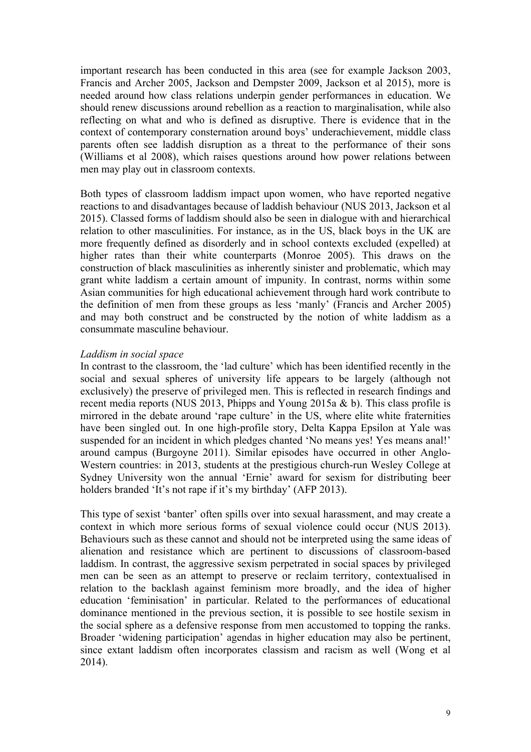important research has been conducted in this area (see for example Jackson 2003, Francis and Archer 2005, Jackson and Dempster 2009, Jackson et al 2015), more is needed around how class relations underpin gender performances in education. We should renew discussions around rebellion as a reaction to marginalisation, while also reflecting on what and who is defined as disruptive. There is evidence that in the context of contemporary consternation around boys' underachievement, middle class parents often see laddish disruption as a threat to the performance of their sons (Williams et al 2008), which raises questions around how power relations between men may play out in classroom contexts.

Both types of classroom laddism impact upon women, who have reported negative reactions to and disadvantages because of laddish behaviour (NUS 2013, Jackson et al 2015). Classed forms of laddism should also be seen in dialogue with and hierarchical relation to other masculinities. For instance, as in the US, black boys in the UK are more frequently defined as disorderly and in school contexts excluded (expelled) at higher rates than their white counterparts (Monroe 2005). This draws on the construction of black masculinities as inherently sinister and problematic, which may grant white laddism a certain amount of impunity. In contrast, norms within some Asian communities for high educational achievement through hard work contribute to the definition of men from these groups as less 'manly' (Francis and Archer 2005) and may both construct and be constructed by the notion of white laddism as a consummate masculine behaviour.

#### *Laddism in social space*

In contrast to the classroom, the 'lad culture' which has been identified recently in the social and sexual spheres of university life appears to be largely (although not exclusively) the preserve of privileged men. This is reflected in research findings and recent media reports (NUS 2013, Phipps and Young 2015a & b). This class profile is mirrored in the debate around 'rape culture' in the US, where elite white fraternities have been singled out. In one high-profile story, Delta Kappa Epsilon at Yale was suspended for an incident in which pledges chanted 'No means yes! Yes means anal!' around campus (Burgoyne 2011). Similar episodes have occurred in other Anglo-Western countries: in 2013, students at the prestigious church-run Wesley College at Sydney University won the annual 'Ernie' award for sexism for distributing beer holders branded 'It's not rape if it's my birthday' (AFP 2013).

This type of sexist 'banter' often spills over into sexual harassment, and may create a context in which more serious forms of sexual violence could occur (NUS 2013). Behaviours such as these cannot and should not be interpreted using the same ideas of alienation and resistance which are pertinent to discussions of classroom-based laddism. In contrast, the aggressive sexism perpetrated in social spaces by privileged men can be seen as an attempt to preserve or reclaim territory, contextualised in relation to the backlash against feminism more broadly, and the idea of higher education 'feminisation' in particular. Related to the performances of educational dominance mentioned in the previous section, it is possible to see hostile sexism in the social sphere as a defensive response from men accustomed to topping the ranks. Broader 'widening participation' agendas in higher education may also be pertinent, since extant laddism often incorporates classism and racism as well (Wong et al 2014).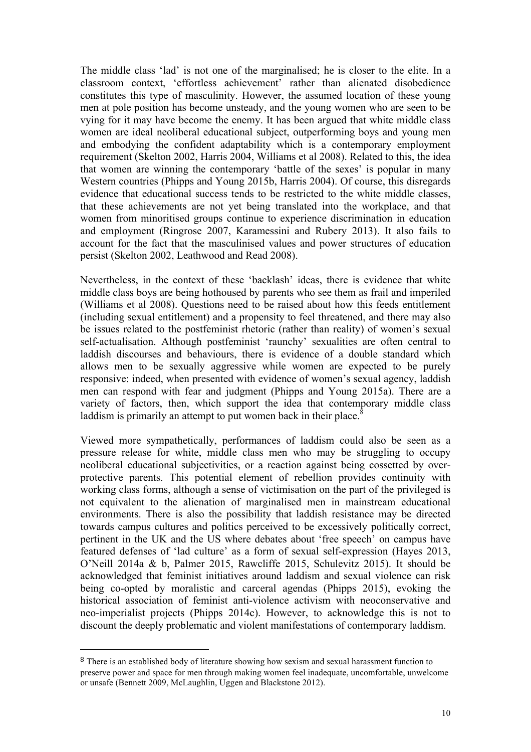The middle class 'lad' is not one of the marginalised; he is closer to the elite. In a classroom context, 'effortless achievement' rather than alienated disobedience constitutes this type of masculinity. However, the assumed location of these young men at pole position has become unsteady, and the young women who are seen to be vying for it may have become the enemy. It has been argued that white middle class women are ideal neoliberal educational subject, outperforming boys and young men and embodying the confident adaptability which is a contemporary employment requirement (Skelton 2002, Harris 2004, Williams et al 2008). Related to this, the idea that women are winning the contemporary 'battle of the sexes' is popular in many Western countries (Phipps and Young 2015b, Harris 2004). Of course, this disregards evidence that educational success tends to be restricted to the white middle classes, that these achievements are not yet being translated into the workplace, and that women from minoritised groups continue to experience discrimination in education and employment (Ringrose 2007, Karamessini and Rubery 2013). It also fails to account for the fact that the masculinised values and power structures of education persist (Skelton 2002, Leathwood and Read 2008).

Nevertheless, in the context of these 'backlash' ideas, there is evidence that white middle class boys are being hothoused by parents who see them as frail and imperiled (Williams et al 2008). Questions need to be raised about how this feeds entitlement (including sexual entitlement) and a propensity to feel threatened, and there may also be issues related to the postfeminist rhetoric (rather than reality) of women's sexual self-actualisation. Although postfeminist 'raunchy' sexualities are often central to laddish discourses and behaviours, there is evidence of a double standard which allows men to be sexually aggressive while women are expected to be purely responsive: indeed, when presented with evidence of women's sexual agency, laddish men can respond with fear and judgment (Phipps and Young 2015a). There are a variety of factors, then, which support the idea that contemporary middle class laddism is primarily an attempt to put women back in their place. $8$ 

Viewed more sympathetically, performances of laddism could also be seen as a pressure release for white, middle class men who may be struggling to occupy neoliberal educational subjectivities, or a reaction against being cossetted by overprotective parents. This potential element of rebellion provides continuity with working class forms, although a sense of victimisation on the part of the privileged is not equivalent to the alienation of marginalised men in mainstream educational environments. There is also the possibility that laddish resistance may be directed towards campus cultures and politics perceived to be excessively politically correct, pertinent in the UK and the US where debates about 'free speech' on campus have featured defenses of 'lad culture' as a form of sexual self-expression (Hayes 2013, O'Neill 2014a & b, Palmer 2015, Rawcliffe 2015, Schulevitz 2015). It should be acknowledged that feminist initiatives around laddism and sexual violence can risk being co-opted by moralistic and carceral agendas (Phipps 2015), evoking the historical association of feminist anti-violence activism with neoconservative and neo-imperialist projects (Phipps 2014c). However, to acknowledge this is not to discount the deeply problematic and violent manifestations of contemporary laddism.

 

<sup>8</sup> There is an established body of literature showing how sexism and sexual harassment function to preserve power and space for men through making women feel inadequate, uncomfortable, unwelcome or unsafe (Bennett 2009, McLaughlin, Uggen and Blackstone 2012).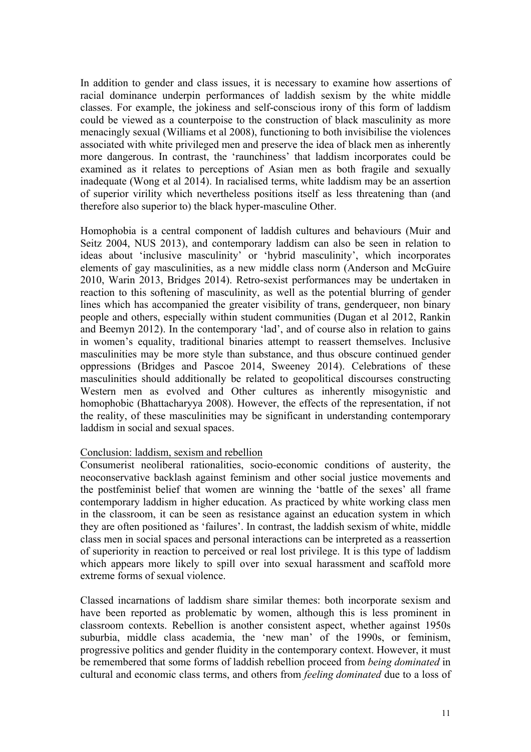In addition to gender and class issues, it is necessary to examine how assertions of racial dominance underpin performances of laddish sexism by the white middle classes. For example, the jokiness and self-conscious irony of this form of laddism could be viewed as a counterpoise to the construction of black masculinity as more menacingly sexual (Williams et al 2008), functioning to both invisibilise the violences associated with white privileged men and preserve the idea of black men as inherently more dangerous. In contrast, the 'raunchiness' that laddism incorporates could be examined as it relates to perceptions of Asian men as both fragile and sexually inadequate (Wong et al 2014). In racialised terms, white laddism may be an assertion of superior virility which nevertheless positions itself as less threatening than (and therefore also superior to) the black hyper-masculine Other.

Homophobia is a central component of laddish cultures and behaviours (Muir and Seitz 2004, NUS 2013), and contemporary laddism can also be seen in relation to ideas about 'inclusive masculinity' or 'hybrid masculinity', which incorporates elements of gay masculinities, as a new middle class norm (Anderson and McGuire 2010, Warin 2013, Bridges 2014). Retro-sexist performances may be undertaken in reaction to this softening of masculinity, as well as the potential blurring of gender lines which has accompanied the greater visibility of trans, genderqueer, non binary people and others, especially within student communities (Dugan et al 2012, Rankin and Beemyn 2012). In the contemporary 'lad', and of course also in relation to gains in women's equality, traditional binaries attempt to reassert themselves. Inclusive masculinities may be more style than substance, and thus obscure continued gender oppressions (Bridges and Pascoe 2014, Sweeney 2014). Celebrations of these masculinities should additionally be related to geopolitical discourses constructing Western men as evolved and Other cultures as inherently misogynistic and homophobic (Bhattacharyya 2008). However, the effects of the representation, if not the reality, of these masculinities may be significant in understanding contemporary laddism in social and sexual spaces.

#### Conclusion: laddism, sexism and rebellion

Consumerist neoliberal rationalities, socio-economic conditions of austerity, the neoconservative backlash against feminism and other social justice movements and the postfeminist belief that women are winning the 'battle of the sexes' all frame contemporary laddism in higher education. As practiced by white working class men in the classroom, it can be seen as resistance against an education system in which they are often positioned as 'failures'. In contrast, the laddish sexism of white, middle class men in social spaces and personal interactions can be interpreted as a reassertion of superiority in reaction to perceived or real lost privilege. It is this type of laddism which appears more likely to spill over into sexual harassment and scaffold more extreme forms of sexual violence.

Classed incarnations of laddism share similar themes: both incorporate sexism and have been reported as problematic by women, although this is less prominent in classroom contexts. Rebellion is another consistent aspect, whether against 1950s suburbia, middle class academia, the 'new man' of the 1990s, or feminism, progressive politics and gender fluidity in the contemporary context. However, it must be remembered that some forms of laddish rebellion proceed from *being dominated* in cultural and economic class terms, and others from *feeling dominated* due to a loss of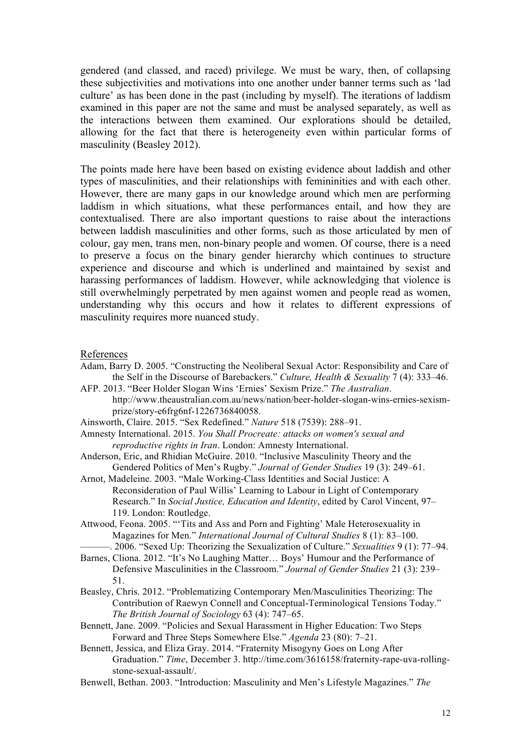gendered (and classed, and raced) privilege. We must be wary, then, of collapsing these subjectivities and motivations into one another under banner terms such as 'lad culture' as has been done in the past (including by myself). The iterations of laddism examined in this paper are not the same and must be analysed separately, as well as the interactions between them examined. Our explorations should be detailed, allowing for the fact that there is heterogeneity even within particular forms of masculinity (Beasley 2012).

The points made here have been based on existing evidence about laddish and other types of masculinities, and their relationships with femininities and with each other. However, there are many gaps in our knowledge around which men are performing laddism in which situations, what these performances entail, and how they are contextualised. There are also important questions to raise about the interactions between laddish masculinities and other forms, such as those articulated by men of colour, gay men, trans men, non-binary people and women. Of course, there is a need to preserve a focus on the binary gender hierarchy which continues to structure experience and discourse and which is underlined and maintained by sexist and harassing performances of laddism. However, while acknowledging that violence is still overwhelmingly perpetrated by men against women and people read as women, understanding why this occurs and how it relates to different expressions of masculinity requires more nuanced study.

#### References

- Adam, Barry D. 2005. "Constructing the Neoliberal Sexual Actor: Responsibility and Care of the Self in the Discourse of Barebackers." *Culture, Health & Sexuality* 7 (4): 333–46.
- AFP. 2013. "Beer Holder Slogan Wins 'Ernies' Sexism Prize." *The Australian*. http://www.theaustralian.com.au/news/nation/beer-holder-slogan-wins-ernies-sexismprize/story-e6frg6nf-1226736840058.
- Ainsworth, Claire. 2015. "Sex Redefined." *Nature* 518 (7539): 288–91.
- Amnesty International. 2015. *You Shall Procreate: attacks on women's sexual and reproductive rights in Iran*. London: Amnesty International.
- Anderson, Eric, and Rhidian McGuire. 2010. "Inclusive Masculinity Theory and the Gendered Politics of Men's Rugby." *Journal of Gender Studies* 19 (3): 249–61.
- Arnot, Madeleine. 2003. "Male Working-Class Identities and Social Justice: A Reconsideration of Paul Willis' Learning to Labour in Light of Contemporary Research." In *Social Justice, Education and Identity*, edited by Carol Vincent, 97– 119. London: Routledge.
- Attwood, Feona. 2005. "'Tits and Ass and Porn and Fighting' Male Heterosexuality in Magazines for Men." *International Journal of Cultural Studies* 8 (1): 83–100.
- ———. 2006. "Sexed Up: Theorizing the Sexualization of Culture." *Sexualities* 9 (1): 77–94.
- Barnes, Cliona. 2012. "It's No Laughing Matter… Boys' Humour and the Performance of Defensive Masculinities in the Classroom." *Journal of Gender Studies* 21 (3): 239– 51.
- Beasley, Chris. 2012. "Problematizing Contemporary Men/Masculinities Theorizing: The Contribution of Raewyn Connell and Conceptual-Terminological Tensions Today." *The British Journal of Sociology* 63 (4): 747–65.
- Bennett, Jane. 2009. "Policies and Sexual Harassment in Higher Education: Two Steps Forward and Three Steps Somewhere Else." *Agenda* 23 (80): 7–21.
- Bennett, Jessica, and Eliza Gray. 2014. "Fraternity Misogyny Goes on Long After Graduation." *Time*, December 3. http://time.com/3616158/fraternity-rape-uva-rollingstone-sexual-assault/.
- Benwell, Bethan. 2003. "Introduction: Masculinity and Men's Lifestyle Magazines." *The*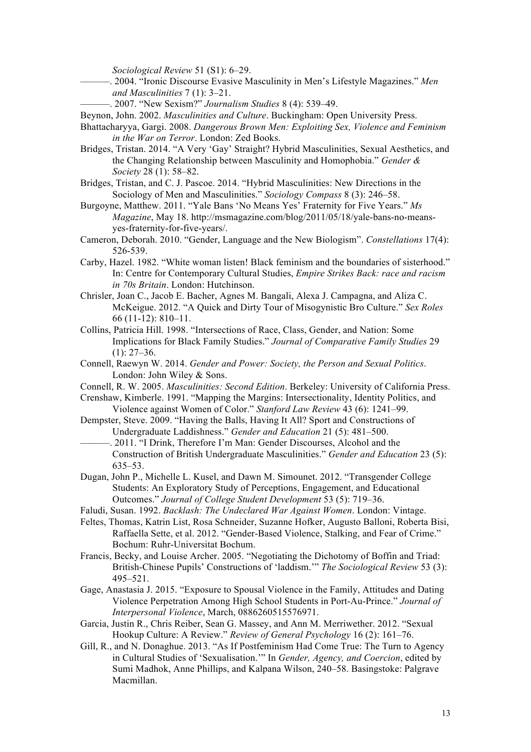*Sociological Review* 51 (S1): 6–29.

- ———. 2004. "Ironic Discourse Evasive Masculinity in Men's Lifestyle Magazines." *Men and Masculinities* 7 (1): 3–21.
	- ———. 2007. "New Sexism?" *Journalism Studies* 8 (4): 539–49.
- Beynon, John. 2002. *Masculinities and Culture*. Buckingham: Open University Press.
- Bhattacharyya, Gargi. 2008. *Dangerous Brown Men: Exploiting Sex, Violence and Feminism in the War on Terror*. London: Zed Books.
- Bridges, Tristan. 2014. "A Very 'Gay' Straight? Hybrid Masculinities, Sexual Aesthetics, and the Changing Relationship between Masculinity and Homophobia." *Gender & Society* 28 (1): 58–82.
- Bridges, Tristan, and C. J. Pascoe. 2014. "Hybrid Masculinities: New Directions in the Sociology of Men and Masculinities." *Sociology Compass* 8 (3): 246–58.
- Burgoyne, Matthew. 2011. "Yale Bans 'No Means Yes' Fraternity for Five Years." *Ms Magazine*, May 18. http://msmagazine.com/blog/2011/05/18/yale-bans-no-meansyes-fraternity-for-five-years/.
- Cameron, Deborah. 2010. "Gender, Language and the New Biologism". *Constellations* 17(4): 526-539.
- Carby, Hazel. 1982. "White woman listen! Black feminism and the boundaries of sisterhood." In: Centre for Contemporary Cultural Studies, *Empire Strikes Back: race and racism in 70s Britain*. London: Hutchinson.
- Chrisler, Joan C., Jacob E. Bacher, Agnes M. Bangali, Alexa J. Campagna, and Aliza C. McKeigue. 2012. "A Quick and Dirty Tour of Misogynistic Bro Culture." *Sex Roles* 66 (11-12): 810–11.
- Collins, Patricia Hill. 1998. "Intersections of Race, Class, Gender, and Nation: Some Implications for Black Family Studies." *Journal of Comparative Family Studies* 29  $(1): 27-36.$
- Connell, Raewyn W. 2014. *Gender and Power: Society, the Person and Sexual Politics*. London: John Wiley & Sons.
- Connell, R. W. 2005. *Masculinities: Second Edition*. Berkeley: University of California Press.
- Crenshaw, Kimberle. 1991. "Mapping the Margins: Intersectionality, Identity Politics, and Violence against Women of Color." *Stanford Law Review* 43 (6): 1241–99.
- Dempster, Steve. 2009. "Having the Balls, Having It All? Sport and Constructions of Undergraduate Laddishness." *Gender and Education* 21 (5): 481–500.
- -. 2011. "I Drink, Therefore I'm Man: Gender Discourses, Alcohol and the Construction of British Undergraduate Masculinities." *Gender and Education* 23 (5): 635–53.
- Dugan, John P., Michelle L. Kusel, and Dawn M. Simounet. 2012. "Transgender College Students: An Exploratory Study of Perceptions, Engagement, and Educational Outcomes." *Journal of College Student Development* 53 (5): 719–36.
- Faludi, Susan. 1992. *Backlash: The Undeclared War Against Women*. London: Vintage.
- Feltes, Thomas, Katrin List, Rosa Schneider, Suzanne Hofker, Augusto Balloni, Roberta Bisi, Raffaella Sette, et al. 2012. "Gender-Based Violence, Stalking, and Fear of Crime." Bochum: Ruhr-Universitat Bochum.
- Francis, Becky, and Louise Archer. 2005. "Negotiating the Dichotomy of Boffin and Triad: British-Chinese Pupils' Constructions of 'laddism.'" *The Sociological Review* 53 (3): 495–521.
- Gage, Anastasia J. 2015. "Exposure to Spousal Violence in the Family, Attitudes and Dating Violence Perpetration Among High School Students in Port-Au-Prince." *Journal of Interpersonal Violence*, March, 0886260515576971.
- Garcia, Justin R., Chris Reiber, Sean G. Massey, and Ann M. Merriwether. 2012. "Sexual Hookup Culture: A Review." *Review of General Psychology* 16 (2): 161–76.
- Gill, R., and N. Donaghue. 2013. "As If Postfeminism Had Come True: The Turn to Agency in Cultural Studies of 'Sexualisation.'" In *Gender, Agency, and Coercion*, edited by Sumi Madhok, Anne Phillips, and Kalpana Wilson, 240–58. Basingstoke: Palgrave Macmillan.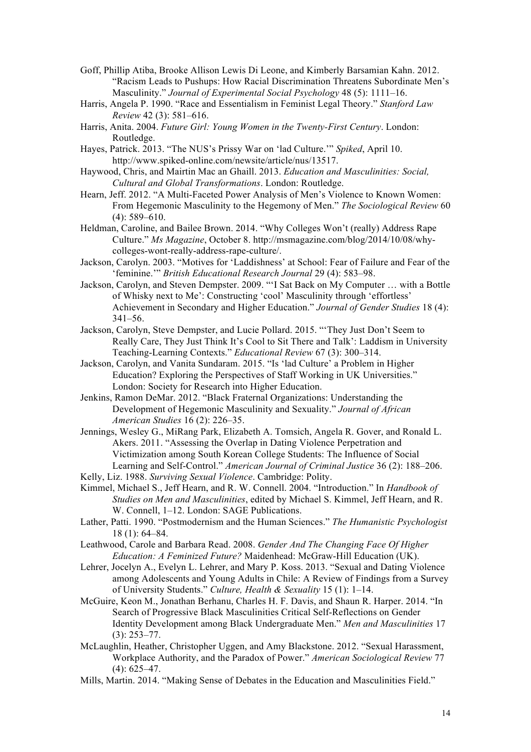- Goff, Phillip Atiba, Brooke Allison Lewis Di Leone, and Kimberly Barsamian Kahn. 2012. "Racism Leads to Pushups: How Racial Discrimination Threatens Subordinate Men's Masculinity." *Journal of Experimental Social Psychology* 48 (5): 1111–16.
- Harris, Angela P. 1990. "Race and Essentialism in Feminist Legal Theory." *Stanford Law Review* 42 (3): 581–616.
- Harris, Anita. 2004. *Future Girl: Young Women in the Twenty-First Century*. London: Routledge.
- Hayes, Patrick. 2013. "The NUS's Prissy War on 'lad Culture.'" *Spiked*, April 10. http://www.spiked-online.com/newsite/article/nus/13517.
- Haywood, Chris, and Mairtin Mac an Ghaill. 2013. *Education and Masculinities: Social, Cultural and Global Transformations*. London: Routledge.
- Hearn, Jeff. 2012. "A Multi-Faceted Power Analysis of Men's Violence to Known Women: From Hegemonic Masculinity to the Hegemony of Men." *The Sociological Review* 60 (4): 589–610.
- Heldman, Caroline, and Bailee Brown. 2014. "Why Colleges Won't (really) Address Rape Culture." *Ms Magazine*, October 8. http://msmagazine.com/blog/2014/10/08/whycolleges-wont-really-address-rape-culture/.
- Jackson, Carolyn. 2003. "Motives for 'Laddishness' at School: Fear of Failure and Fear of the 'feminine.'" *British Educational Research Journal* 29 (4): 583–98.
- Jackson, Carolyn, and Steven Dempster. 2009. "'I Sat Back on My Computer … with a Bottle of Whisky next to Me': Constructing 'cool' Masculinity through 'effortless' Achievement in Secondary and Higher Education." *Journal of Gender Studies* 18 (4): 341–56.
- Jackson, Carolyn, Steve Dempster, and Lucie Pollard. 2015. "'They Just Don't Seem to Really Care, They Just Think It's Cool to Sit There and Talk': Laddism in University Teaching-Learning Contexts." *Educational Review* 67 (3): 300–314.
- Jackson, Carolyn, and Vanita Sundaram. 2015. "Is 'lad Culture' a Problem in Higher Education? Exploring the Perspectives of Staff Working in UK Universities." London: Society for Research into Higher Education.
- Jenkins, Ramon DeMar. 2012. "Black Fraternal Organizations: Understanding the Development of Hegemonic Masculinity and Sexuality." *Journal of African American Studies* 16 (2): 226–35.
- Jennings, Wesley G., MiRang Park, Elizabeth A. Tomsich, Angela R. Gover, and Ronald L. Akers. 2011. "Assessing the Overlap in Dating Violence Perpetration and Victimization among South Korean College Students: The Influence of Social Learning and Self-Control." *American Journal of Criminal Justice* 36 (2): 188–206.
- Kelly, Liz. 1988. *Surviving Sexual Violence*. Cambridge: Polity.
- Kimmel, Michael S., Jeff Hearn, and R. W. Connell. 2004. "Introduction." In *Handbook of Studies on Men and Masculinities*, edited by Michael S. Kimmel, Jeff Hearn, and R. W. Connell, 1–12. London: SAGE Publications.
- Lather, Patti. 1990. "Postmodernism and the Human Sciences." *The Humanistic Psychologist* 18 (1): 64–84.
- Leathwood, Carole and Barbara Read. 2008. *Gender And The Changing Face Of Higher Education: A Feminized Future?* Maidenhead: McGraw-Hill Education (UK).
- Lehrer, Jocelyn A., Evelyn L. Lehrer, and Mary P. Koss. 2013. "Sexual and Dating Violence among Adolescents and Young Adults in Chile: A Review of Findings from a Survey of University Students." *Culture, Health & Sexuality* 15 (1): 1–14.
- McGuire, Keon M., Jonathan Berhanu, Charles H. F. Davis, and Shaun R. Harper. 2014. "In Search of Progressive Black Masculinities Critical Self-Reflections on Gender Identity Development among Black Undergraduate Men." *Men and Masculinities* 17 (3): 253–77.
- McLaughlin, Heather, Christopher Uggen, and Amy Blackstone. 2012. "Sexual Harassment, Workplace Authority, and the Paradox of Power." *American Sociological Review* 77  $(4)$ : 625–47.
- Mills, Martin. 2014. "Making Sense of Debates in the Education and Masculinities Field."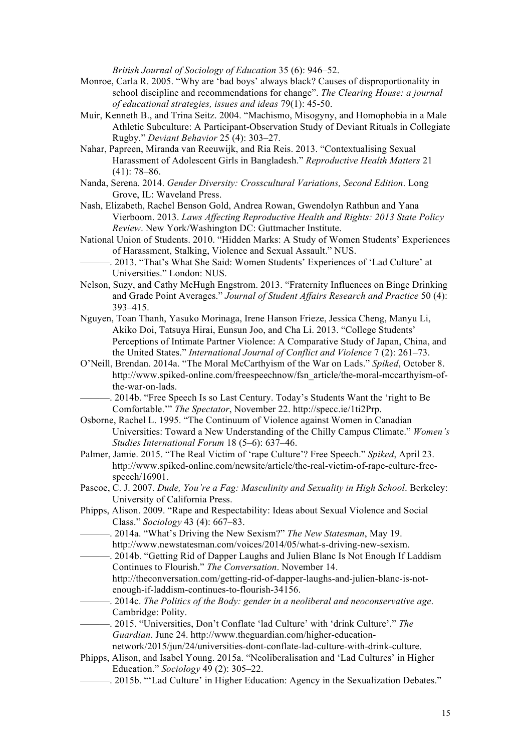*British Journal of Sociology of Education* 35 (6): 946–52.

- Monroe, Carla R. 2005. "Why are 'bad boys' always black? Causes of disproportionality in school discipline and recommendations for change". *The Clearing House: a journal of educational strategies, issues and ideas* 79(1): 45-50.
- Muir, Kenneth B., and Trina Seitz. 2004. "Machismo, Misogyny, and Homophobia in a Male Athletic Subculture: A Participant-Observation Study of Deviant Rituals in Collegiate Rugby." *Deviant Behavior* 25 (4): 303–27.
- Nahar, Papreen, Miranda van Reeuwijk, and Ria Reis. 2013. "Contextualising Sexual Harassment of Adolescent Girls in Bangladesh." *Reproductive Health Matters* 21 (41): 78–86.
- Nanda, Serena. 2014. *Gender Diversity: Crosscultural Variations, Second Edition*. Long Grove, IL: Waveland Press.
- Nash, Elizabeth, Rachel Benson Gold, Andrea Rowan, Gwendolyn Rathbun and Yana Vierboom. 2013. *Laws Affecting Reproductive Health and Rights: 2013 State Policy Review*. New York/Washington DC: Guttmacher Institute.
- National Union of Students. 2010. "Hidden Marks: A Study of Women Students' Experiences of Harassment, Stalking, Violence and Sexual Assault." NUS.
	- ———. 2013. "That's What She Said: Women Students' Experiences of 'Lad Culture' at Universities." London: NUS.
- Nelson, Suzy, and Cathy McHugh Engstrom. 2013. "Fraternity Influences on Binge Drinking and Grade Point Averages." *Journal of Student Affairs Research and Practice* 50 (4): 393–415.
- Nguyen, Toan Thanh, Yasuko Morinaga, Irene Hanson Frieze, Jessica Cheng, Manyu Li, Akiko Doi, Tatsuya Hirai, Eunsun Joo, and Cha Li. 2013. "College Students' Perceptions of Intimate Partner Violence: A Comparative Study of Japan, China, and the United States." *International Journal of Conflict and Violence* 7 (2): 261–73.
- O'Neill, Brendan. 2014a. "The Moral McCarthyism of the War on Lads." *Spiked*, October 8. http://www.spiked-online.com/freespeechnow/fsn\_article/the-moral-mccarthyism-ofthe-war-on-lads.
- ———. 2014b. "Free Speech Is so Last Century. Today's Students Want the 'right to Be Comfortable.'" *The Spectator*, November 22. http://specc.ie/1ti2Prp.
- Osborne, Rachel L. 1995. "The Continuum of Violence against Women in Canadian Universities: Toward a New Understanding of the Chilly Campus Climate." *Women's Studies International Forum* 18 (5–6): 637–46.
- Palmer, Jamie. 2015. "The Real Victim of 'rape Culture'? Free Speech." *Spiked*, April 23. http://www.spiked-online.com/newsite/article/the-real-victim-of-rape-culture-freespeech/16901.
- Pascoe, C. J. 2007. *Dude, You're a Fag: Masculinity and Sexuality in High School*. Berkeley: University of California Press.
- Phipps, Alison. 2009. "Rape and Respectability: Ideas about Sexual Violence and Social Class." *Sociology* 43 (4): 667–83.
- ———. 2014a. "What's Driving the New Sexism?" *The New Statesman*, May 19. http://www.newstatesman.com/voices/2014/05/what-s-driving-new-sexism.
- -, 2014b. "Getting Rid of Dapper Laughs and Julien Blanc Is Not Enough If Laddism Continues to Flourish." *The Conversation*. November 14. http://theconversation.com/getting-rid-of-dapper-laughs-and-julien-blanc-is-not
	- enough-if-laddism-continues-to-flourish-34156.
- ———. 2014c. *The Politics of the Body: gender in a neoliberal and neoconservative age*. Cambridge: Polity.
- ———. 2015. "Universities, Don't Conflate 'lad Culture' with 'drink Culture'." *The Guardian*. June 24. http://www.theguardian.com/higher-educationnetwork/2015/jun/24/universities-dont-conflate-lad-culture-with-drink-culture.
- Phipps, Alison, and Isabel Young. 2015a. "Neoliberalisation and 'Lad Cultures' in Higher Education." *Sociology* 49 (2): 305–22.
- -. 2015b. "'Lad Culture' in Higher Education: Agency in the Sexualization Debates."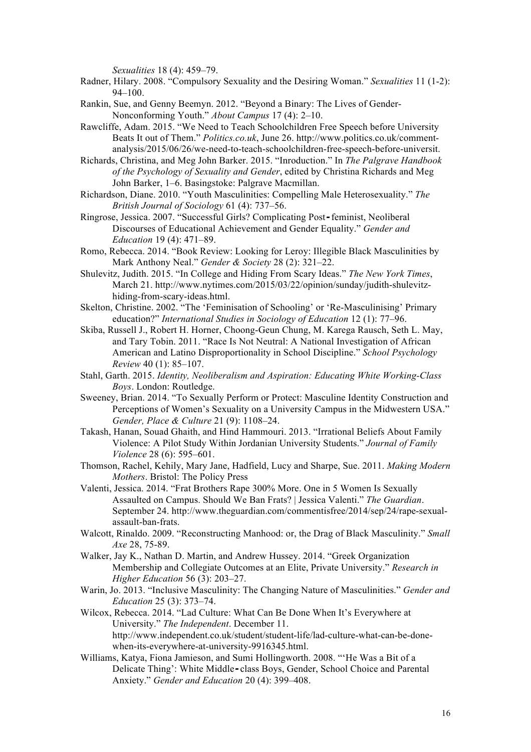*Sexualities* 18 (4): 459–79.

- Radner, Hilary. 2008. "Compulsory Sexuality and the Desiring Woman." *Sexualities* 11 (1-2): 94–100.
- Rankin, Sue, and Genny Beemyn. 2012. "Beyond a Binary: The Lives of Gender-Nonconforming Youth." *About Campus* 17 (4): 2–10.
- Rawcliffe, Adam. 2015. "We Need to Teach Schoolchildren Free Speech before University Beats It out of Them." *Politics.co.uk*, June 26. http://www.politics.co.uk/commentanalysis/2015/06/26/we-need-to-teach-schoolchildren-free-speech-before-universit.

Richards, Christina, and Meg John Barker. 2015. "Inroduction." In *The Palgrave Handbook of the Psychology of Sexuality and Gender*, edited by Christina Richards and Meg John Barker, 1–6. Basingstoke: Palgrave Macmillan.

- Richardson, Diane. 2010. "Youth Masculinities: Compelling Male Heterosexuality." *The British Journal of Sociology* 61 (4): 737–56.
- Ringrose, Jessica. 2007. "Successful Girls? Complicating Post*‐*feminist, Neoliberal Discourses of Educational Achievement and Gender Equality." *Gender and Education* 19 (4): 471–89.
- Romo, Rebecca. 2014. "Book Review: Looking for Leroy: Illegible Black Masculinities by Mark Anthony Neal." *Gender & Society* 28 (2): 321–22.
- Shulevitz, Judith. 2015. "In College and Hiding From Scary Ideas." *The New York Times*, March 21. http://www.nytimes.com/2015/03/22/opinion/sunday/judith-shulevitzhiding-from-scary-ideas.html.
- Skelton, Christine. 2002. "The 'Feminisation of Schooling' or 'Re-Masculinising' Primary education?" *International Studies in Sociology of Education* 12 (1): 77–96.
- Skiba, Russell J., Robert H. Horner, Choong-Geun Chung, M. Karega Rausch, Seth L. May, and Tary Tobin. 2011. "Race Is Not Neutral: A National Investigation of African American and Latino Disproportionality in School Discipline." *School Psychology Review* 40 (1): 85–107.
- Stahl, Garth. 2015. *Identity, Neoliberalism and Aspiration: Educating White Working-Class Boys*. London: Routledge.
- Sweeney, Brian. 2014. "To Sexually Perform or Protect: Masculine Identity Construction and Perceptions of Women's Sexuality on a University Campus in the Midwestern USA." *Gender, Place & Culture* 21 (9): 1108–24.
- Takash, Hanan, Souad Ghaith, and Hind Hammouri. 2013. "Irrational Beliefs About Family Violence: A Pilot Study Within Jordanian University Students." *Journal of Family Violence* 28 (6): 595–601.
- Thomson, Rachel, Kehily, Mary Jane, Hadfield, Lucy and Sharpe, Sue. 2011. *Making Modern Mothers*. Bristol: The Policy Press
- Valenti, Jessica. 2014. "Frat Brothers Rape 300% More. One in 5 Women Is Sexually Assaulted on Campus. Should We Ban Frats? | Jessica Valenti." *The Guardian*. September 24. http://www.theguardian.com/commentisfree/2014/sep/24/rape-sexualassault-ban-frats.
- Walcott, Rinaldo. 2009. "Reconstructing Manhood: or, the Drag of Black Masculinity." *Small Axe* 28, 75-89.
- Walker, Jay K., Nathan D. Martin, and Andrew Hussey. 2014. "Greek Organization Membership and Collegiate Outcomes at an Elite, Private University." *Research in Higher Education* 56 (3): 203–27.
- Warin, Jo. 2013. "Inclusive Masculinity: The Changing Nature of Masculinities." *Gender and Education* 25 (3): 373–74.
- Wilcox, Rebecca. 2014. "Lad Culture: What Can Be Done When It's Everywhere at University." *The Independent*. December 11. http://www.independent.co.uk/student/student-life/lad-culture-what-can-be-donewhen-its-everywhere-at-university-9916345.html.
- Williams, Katya, Fiona Jamieson, and Sumi Hollingworth. 2008. "'He Was a Bit of a Delicate Thing': White Middle*‐*class Boys, Gender, School Choice and Parental Anxiety." *Gender and Education* 20 (4): 399–408.